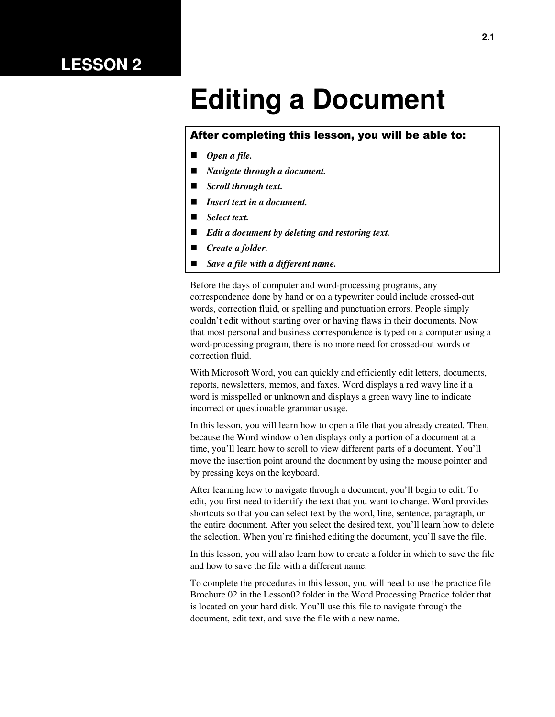## **LESSON 2**

# **Editing a Document**

#### After completing this lesson, you will be able to:

- *Open a file.*
- *Navigate through a document.*
- *Scroll through text.*
- *Insert text in a document.*
- *Select text.*
- *Edit a document by deleting and restoring text.*
- *Create a folder.*
- *Save a file with a different name.*

Before the days of computer and word-processing programs, any correspondence done by hand or on a typewriter could include crossed-out words, correction fluid, or spelling and punctuation errors. People simply couldn't edit without starting over or having flaws in their documents. Now that most personal and business correspondence is typed on a computer using a word-processing program, there is no more need for crossed-out words or correction fluid.

With Microsoft Word, you can quickly and efficiently edit letters, documents, reports, newsletters, memos, and faxes. Word displays a red wavy line if a word is misspelled or unknown and displays a green wavy line to indicate incorrect or questionable grammar usage.

In this lesson, you will learn how to open a file that you already created. Then, because the Word window often displays only a portion of a document at a time, you'll learn how to scroll to view different parts of a document. You'll move the insertion point around the document by using the mouse pointer and by pressing keys on the keyboard.

After learning how to navigate through a document, you'll begin to edit. To edit, you first need to identify the text that you want to change. Word provides shortcuts so that you can select text by the word, line, sentence, paragraph, or the entire document. After you select the desired text, you'll learn how to delete the selection. When you're finished editing the document, you'll save the file.

In this lesson, you will also learn how to create a folder in which to save the file and how to save the file with a different name.

To complete the procedures in this lesson, you will need to use the practice file Brochure 02 in the Lesson02 folder in the Word Processing Practice folder that is located on your hard disk. You'll use this file to navigate through the document, edit text, and save the file with a new name.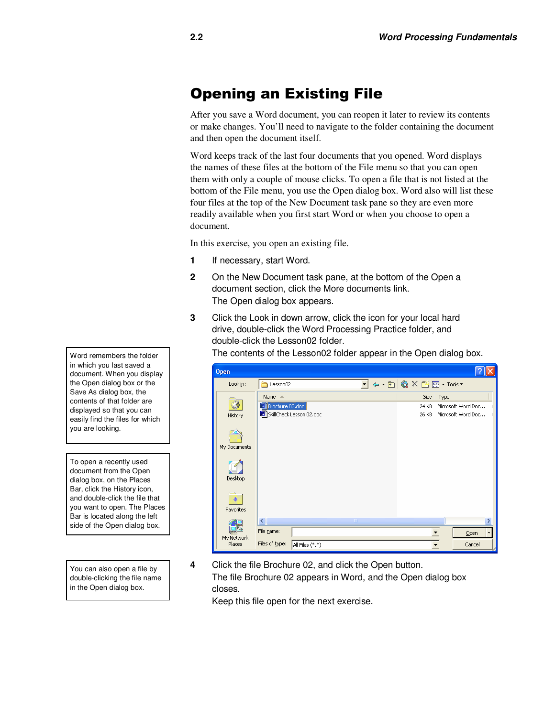## Opening an Existing File

After you save a Word document, you can reopen it later to review its contents or make changes. You'll need to navigate to the folder containing the document and then open the document itself.

Word keeps track of the last four documents that you opened. Word displays the names of these files at the bottom of the File menu so that you can open them with only a couple of mouse clicks. To open a file that is not listed at the bottom of the File menu, you use the Open dialog box. Word also will list these four files at the top of the New Document task pane so they are even more readily available when you first start Word or when you choose to open a document.

In this exercise, you open an existing file.

- **1** If necessary, start Word.
- **2** On the New Document task pane, at the bottom of the Open a document section, click the More documents link. The Open dialog box appears.
- **3** Click the Look in down arrow, click the icon for your local hard drive, double-click the Word Processing Practice folder, and double-click the Lesson02 folder.

The contents of the Lesson02 folder appear in the Open dialog box.

| <b>Open</b>                                          |                                                                 |                 |            |    |                                                                                                                                                                                                                                                                                                                                                                                                                                                                                                                                                                               |      |                                          |                          |
|------------------------------------------------------|-----------------------------------------------------------------|-----------------|------------|----|-------------------------------------------------------------------------------------------------------------------------------------------------------------------------------------------------------------------------------------------------------------------------------------------------------------------------------------------------------------------------------------------------------------------------------------------------------------------------------------------------------------------------------------------------------------------------------|------|------------------------------------------|--------------------------|
| Look in:                                             | Lesson02                                                        |                 |            | ▾╎ | $\left  \begin{array}{c} \leftarrow \begin{array}{c} \begin{array}{c} \leftarrow \end{array} \begin{array}{c} \begin{array}{c} \bigcirc \end{array} & \begin{array}{c} \bigcirc \end{array} & \begin{array}{c} \bigcirc \end{array} & \begin{array}{c} \bigcirc \end{array} & \begin{array}{c} \bigcirc \end{array} & \begin{array}{c} \bigcirc \end{array} & \begin{array}{c} \bigcirc \end{array} & \begin{array}{c} \bigcirc \end{array} & \begin{array}{c} \bigcirc \end{array} & \begin{array}{c} \bigcirc \end{array} & \begin{array}{c} \bigcirc \end{array} & \begin$ |      |                                          |                          |
| History<br>My Documents<br>Desktop<br>⋇<br>Favorites | Name $\triangle$<br>Brochure 02.doc<br>SkillCheck Lesson 02.doc |                 |            |    | Size<br>24 KB<br>26 KB                                                                                                                                                                                                                                                                                                                                                                                                                                                                                                                                                        | Type | Microsoft Word Doc<br>Microsoft Word Doc |                          |
|                                                      | $\prec$                                                         |                 | $\rm{III}$ |    |                                                                                                                                                                                                                                                                                                                                                                                                                                                                                                                                                                               |      |                                          | ≯                        |
| My Network                                           | File name:                                                      |                 |            |    |                                                                                                                                                                                                                                                                                                                                                                                                                                                                                                                                                                               |      | Open                                     | $\overline{\phantom{a}}$ |
| Places                                               | Files of type:                                                  | All Files (*.*) |            |    |                                                                                                                                                                                                                                                                                                                                                                                                                                                                                                                                                                               |      | Cancel                                   |                          |

**4** Click the file Brochure 02, and click the Open button. The file Brochure 02 appears in Word, and the Open dialog box closes.

Keep this file open for the next exercise.

Word remembers the folder in which you last saved a document. When you display the Open dialog box or the Save As dialog box, the contents of that folder are displayed so that you can easily find the files for which you are looking.

To open a recently used document from the Open dialog box, on the Places Bar, click the History icon, and double-click the file that you want to open. The Places Bar is located along the left side of the Open dialog box.

You can also open a file by double-clicking the file name in the Open dialog box.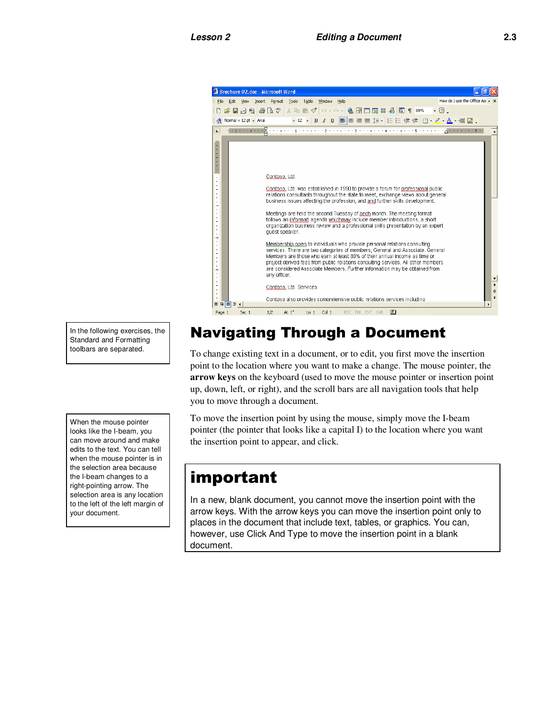

In the following exercises, the Standard and Formatting toolbars are separated.

When the mouse pointer looks like the I-beam, you can move around and make edits to the text. You can tell when the mouse pointer is in the selection area because the I-beam changes to a right-pointing arrow. The selection area is any location to the left of the left margin of your document.

## Navigating Through a Document

To change existing text in a document, or to edit, you first move the insertion point to the location where you want to make a change. The mouse pointer, the **arrow keys** on the keyboard (used to move the mouse pointer or insertion point up, down, left, or right), and the scroll bars are all navigation tools that help you to move through a document.

To move the insertion point by using the mouse, simply move the I-beam pointer (the pointer that looks like a capital I) to the location where you want the insertion point to appear, and click.

## important

In a new, blank document, you cannot move the insertion point with the arrow keys. With the arrow keys you can move the insertion point only to places in the document that include text, tables, or graphics. You can, however, use Click And Type to move the insertion point in a blank document.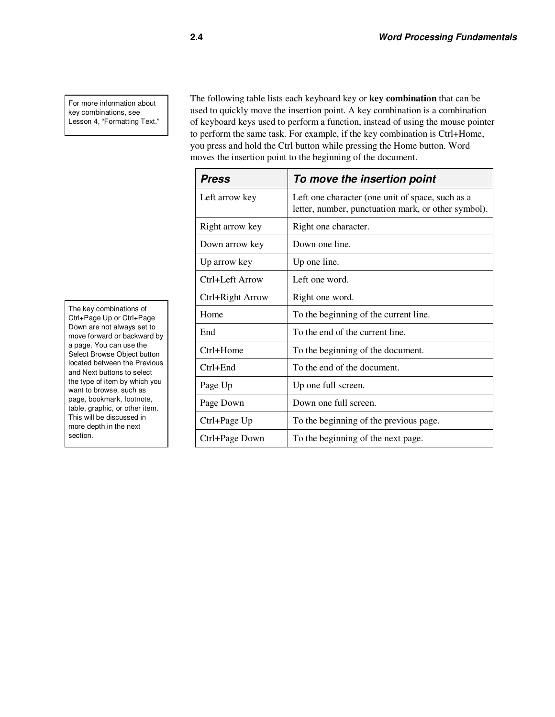For more information about key combinations, see Lesson 4, "Formatting Text." The following table lists each keyboard key or **key combination** that can be used to quickly move the insertion point. A key combination is a combination of keyboard keys used to perform a function, instead of using the mouse pointer to perform the same task. For example, if the key combination is Ctrl+Home, you press and hold the Ctrl button while pressing the Home button. Word moves the insertion point to the beginning of the document.

| <b>Press</b>     | To move the insertion point                                                                             |
|------------------|---------------------------------------------------------------------------------------------------------|
| Left arrow key   | Left one character (one unit of space, such as a<br>letter, number, punctuation mark, or other symbol). |
| Right arrow key  | Right one character.                                                                                    |
| Down arrow key   | Down one line.                                                                                          |
| Up arrow key     | Up one line.                                                                                            |
| Ctrl+Left Arrow  | Left one word.                                                                                          |
| Ctrl+Right Arrow | Right one word.                                                                                         |
| Home             | To the beginning of the current line.                                                                   |
| End              | To the end of the current line.                                                                         |
| Ctrl+Home        | To the beginning of the document.                                                                       |
| $Ctrl + End$     | To the end of the document.                                                                             |
| Page Up          | Up one full screen.                                                                                     |
| Page Down        | Down one full screen.                                                                                   |
| Ctrl+Page Up     | To the beginning of the previous page.                                                                  |
| Ctrl+Page Down   | To the beginning of the next page.                                                                      |

The key combinations of Ctrl+Page Up or Ctrl+Page Down are not always set to move forward or backward by a page. You can use the Select Browse Object button located between the Previous and Next buttons to select the type of item by which you want to browse, such as page, bookmark, footnote, table, graphic, or other item. This will be discussed in more depth in the next section.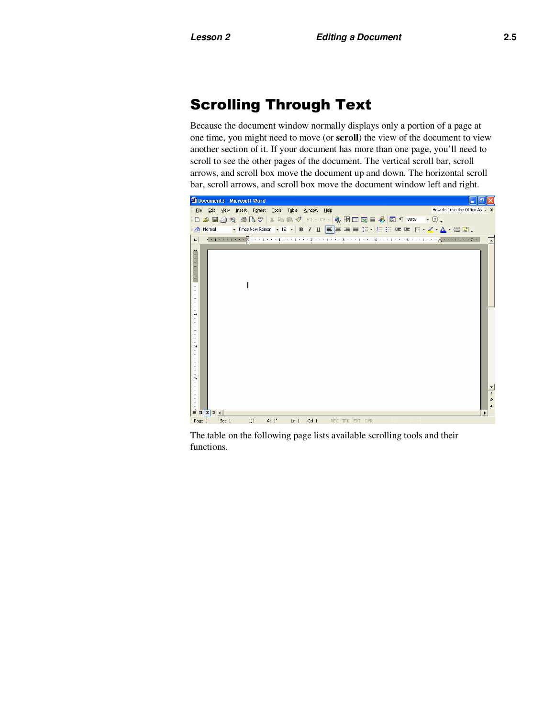### Scrolling Through Text

Because the document window normally displays only a portion of a page at one time, you might need to move (or **scroll**) the view of the document to view another section of it. If your document has more than one page, you'll need to scroll to see the other pages of the document. The vertical scroll bar, scroll arrows, and scroll box move the document up and down. The horizontal scroll bar, scroll arrows, and scroll box move the document window left and right.



The table on the following page lists available scrolling tools and their functions.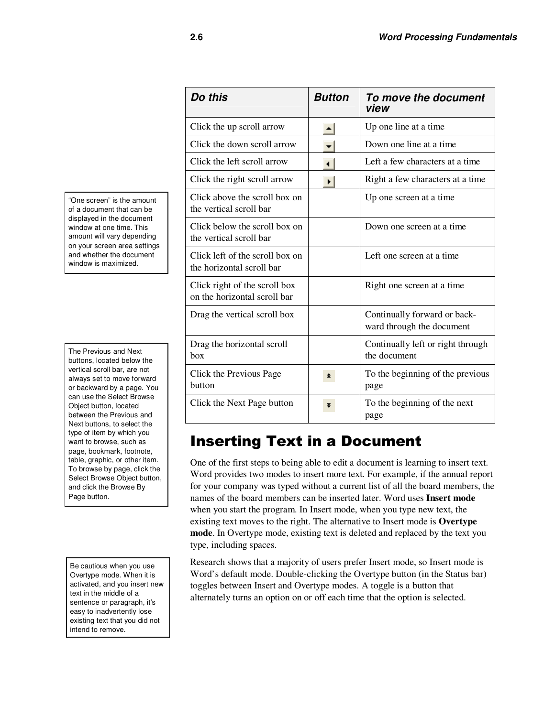"One screen" is the amount of a document that can be displayed in the document window at one time. This amount will vary depending on your screen area settings and whether the document window is maximized.

The Previous and Next buttons, located below the vertical scroll bar, are not always set to move forward or backward by a page. You can use the Select Browse Object button, located between the Previous and Next buttons, to select the type of item by which you want to browse, such as page, bookmark, footnote, table, graphic, or other item. To browse by page, click the Select Browse Object button, and click the Browse By Page button.

Be cautious when you use Overtype mode. When it is activated, and you insert new text in the middle of a sentence or paragraph, it's easy to inadvertently lose existing text that you did not intend to remove.

| Do this                                                       | <b>Button</b> | To move the document<br>view                              |  |
|---------------------------------------------------------------|---------------|-----------------------------------------------------------|--|
| Click the up scroll arrow                                     |               | Up one line at a time                                     |  |
| Click the down scroll arrow                                   |               | Down one line at a time                                   |  |
| Click the left scroll arrow                                   |               | Left a few characters at a time                           |  |
| Click the right scroll arrow                                  |               | Right a few characters at a time                          |  |
| Click above the scroll box on<br>the vertical scroll bar      |               | Up one screen at a time                                   |  |
| Click below the scroll box on<br>the vertical scroll bar      |               | Down one screen at a time                                 |  |
| Click left of the scroll box on<br>the horizontal scroll bar  |               | Left one screen at a time                                 |  |
| Click right of the scroll box<br>on the horizontal scroll bar |               | Right one screen at a time                                |  |
| Drag the vertical scroll box                                  |               | Continually forward or back-<br>ward through the document |  |
| Drag the horizontal scroll<br>box                             |               | Continually left or right through<br>the document         |  |
| Click the Previous Page<br>button                             | ±.            | To the beginning of the previous<br>page                  |  |
| Click the Next Page button                                    |               | To the beginning of the next<br>page                      |  |

## Inserting Text in a Document

One of the first steps to being able to edit a document is learning to insert text. Word provides two modes to insert more text. For example, if the annual report for your company was typed without a current list of all the board members, the names of the board members can be inserted later. Word uses **Insert mode** when you start the program. In Insert mode, when you type new text, the existing text moves to the right. The alternative to Insert mode is **Overtype mode**. In Overtype mode, existing text is deleted and replaced by the text you type, including spaces.

Research shows that a majority of users prefer Insert mode, so Insert mode is Word's default mode. Double-clicking the Overtype button (in the Status bar) toggles between Insert and Overtype modes. A toggle is a button that alternately turns an option on or off each time that the option is selected.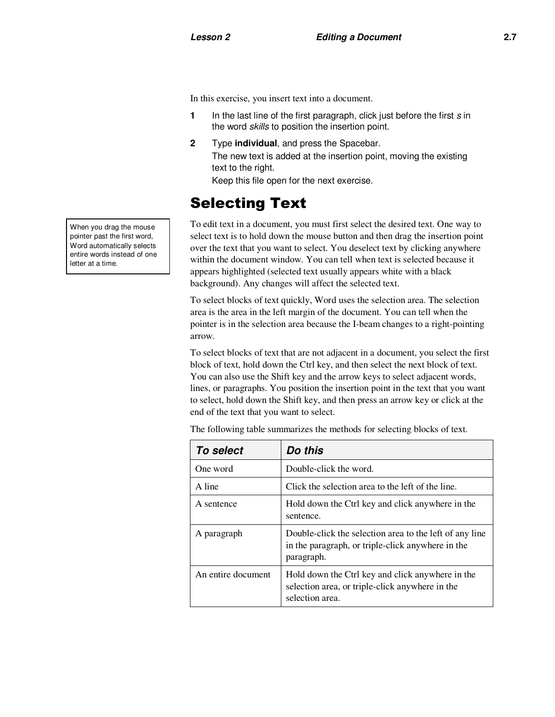In this exercise, you insert text into a document.

- **1** In the last line of the first paragraph, click just before the first s in the word *skills* to position the insertion point.
- **2** Type **individual**, and press the Spacebar.

The new text is added at the insertion point, moving the existing text to the right.

Keep this file open for the next exercise.

### Selecting Text

To edit text in a document, you must first select the desired text. One way to select text is to hold down the mouse button and then drag the insertion point over the text that you want to select. You deselect text by clicking anywhere within the document window. You can tell when text is selected because it appears highlighted (selected text usually appears white with a black background). Any changes will affect the selected text.

To select blocks of text quickly, Word uses the selection area. The selection area is the area in the left margin of the document. You can tell when the pointer is in the selection area because the I-beam changes to a right-pointing arrow.

To select blocks of text that are not adjacent in a document, you select the first block of text, hold down the Ctrl key, and then select the next block of text. You can also use the Shift key and the arrow keys to select adjacent words, lines, or paragraphs. You position the insertion point in the text that you want to select, hold down the Shift key, and then press an arrow key or click at the end of the text that you want to select.

| <b>To select</b>   | Do this                                                                                                                    |
|--------------------|----------------------------------------------------------------------------------------------------------------------------|
| One word           | Double-click the word.                                                                                                     |
| A line             | Click the selection area to the left of the line.                                                                          |
| A sentence         | Hold down the Ctrl key and click anywhere in the<br>sentence.                                                              |
| A paragraph        | Double-click the selection area to the left of any line<br>in the paragraph, or triple-click anywhere in the<br>paragraph. |
| An entire document | Hold down the Ctrl key and click anywhere in the<br>selection area, or triple-click anywhere in the<br>selection area.     |

The following table summarizes the methods for selecting blocks of text.

When you drag the mouse pointer past the first word, Word automatically selects entire words instead of one letter at a time.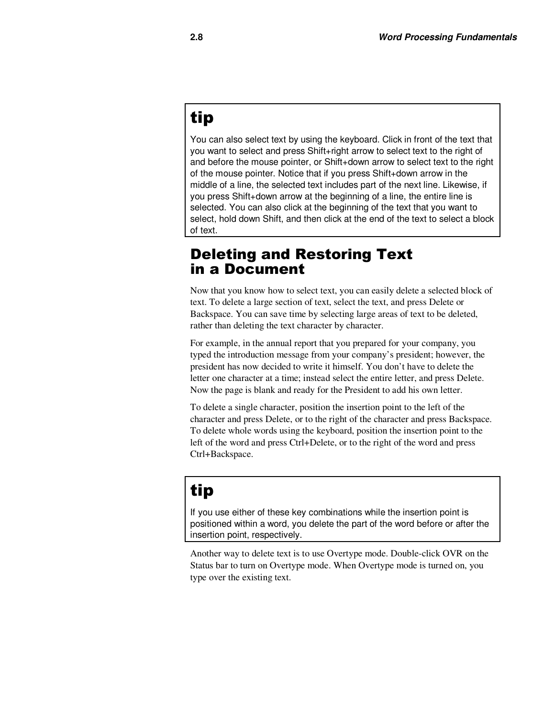## tip

You can also select text by using the keyboard. Click in front of the text that you want to select and press Shift+right arrow to select text to the right of and before the mouse pointer, or Shift+down arrow to select text to the right of the mouse pointer. Notice that if you press Shift+down arrow in the middle of a line, the selected text includes part of the next line. Likewise, if you press Shift+down arrow at the beginning of a line, the entire line is selected. You can also click at the beginning of the text that you want to select, hold down Shift, and then click at the end of the text to select a block of text.

### Deleting and Restoring Text in a Document

Now that you know how to select text, you can easily delete a selected block of text. To delete a large section of text, select the text, and press Delete or Backspace. You can save time by selecting large areas of text to be deleted, rather than deleting the text character by character.

For example, in the annual report that you prepared for your company, you typed the introduction message from your company's president; however, the president has now decided to write it himself. You don't have to delete the letter one character at a time; instead select the entire letter, and press Delete. Now the page is blank and ready for the President to add his own letter.

To delete a single character, position the insertion point to the left of the character and press Delete, or to the right of the character and press Backspace. To delete whole words using the keyboard, position the insertion point to the left of the word and press Ctrl+Delete, or to the right of the word and press Ctrl+Backspace.

## tip

If you use either of these key combinations while the insertion point is positioned within a word, you delete the part of the word before or after the insertion point, respectively.

Another way to delete text is to use Overtype mode. Double-click OVR on the Status bar to turn on Overtype mode. When Overtype mode is turned on, you type over the existing text.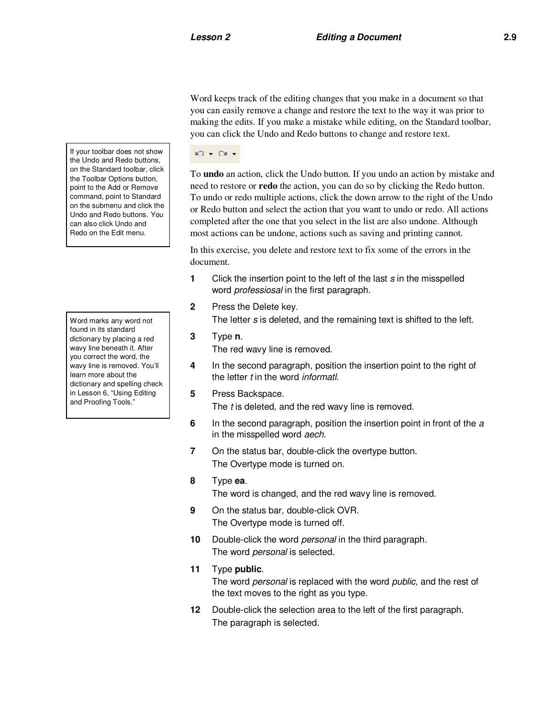Word keeps track of the editing changes that you make in a document so that you can easily remove a change and restore the text to the way it was prior to making the edits. If you make a mistake while editing, on the Standard toolbar, you can click the Undo and Redo buttons to change and restore text.

#### $\mathbf{K}$   $\mathbf{C}$   $\mathbf{C}$   $\mathbf{C}$

To **undo** an action, click the Undo button. If you undo an action by mistake and need to restore or **redo** the action, you can do so by clicking the Redo button. To undo or redo multiple actions, click the down arrow to the right of the Undo or Redo button and select the action that you want to undo or redo. All actions completed after the one that you select in the list are also undone. Although most actions can be undone, actions such as saving and printing cannot.

In this exercise, you delete and restore text to fix some of the errors in the document.

- **1** Click the insertion point to the left of the last s in the misspelled word professiosal in the first paragraph.
- **2** Press the Delete key.

The letter s is deleted, and the remaining text is shifted to the left.

**3** Type **n**.

The red wavy line is removed.

- **4** In the second paragraph, position the insertion point to the right of the letter t in the word *informatl*.
- **5** Press Backspace.

The *t* is deleted, and the red wavy line is removed.

- **6** In the second paragraph, position the insertion point in front of the a in the misspelled word aech.
- **7** On the status bar, double-click the overtype button. The Overtype mode is turned on.

#### **8** Type **ea**.

The word is changed, and the red wavy line is removed.

- **9** On the status bar, double-click OVR. The Overtype mode is turned off.
- **10** Double-click the word personal in the third paragraph. The word *personal* is selected.

#### **11** Type **public**.

The word personal is replaced with the word public, and the rest of the text moves to the right as you type.

**12** Double-click the selection area to the left of the first paragraph. The paragraph is selected.

If your toolbar does not show the Undo and Redo buttons, on the Standard toolbar, click the Toolbar Options button, point to the Add or Remove command, point to Standard on the submenu and click the Undo and Redo buttons. You can also click Undo and Redo on the Edit menu.

Word marks any word not found in its standard dictionary by placing a red wavy line beneath it. After you correct the word, the wavy line is removed. You'll learn more about the dictionary and spelling check in Lesson 6, "Using Editing and Proofing Tools."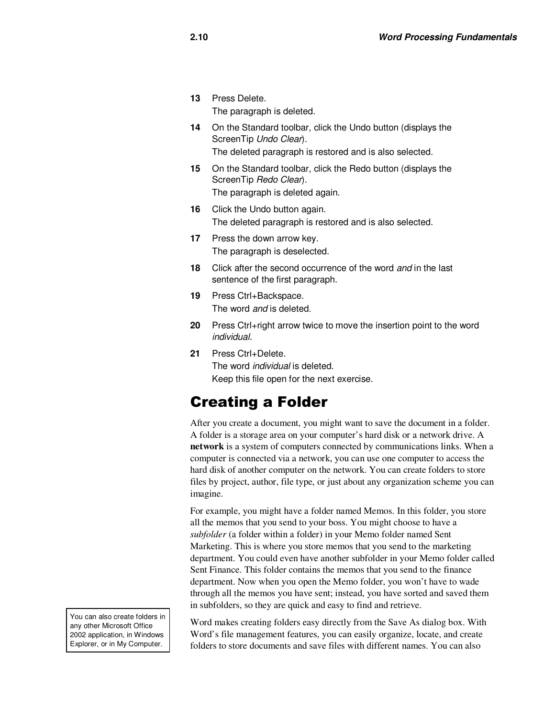**13** Press Delete.

The paragraph is deleted.

- **14** On the Standard toolbar, click the Undo button (displays the ScreenTip Undo Clear). The deleted paragraph is restored and is also selected.
- **15** On the Standard toolbar, click the Redo button (displays the ScreenTip Redo Clear). The paragraph is deleted again.
- **16** Click the Undo button again. The deleted paragraph is restored and is also selected.
- **17** Press the down arrow key. The paragraph is deselected.
- **18** Click after the second occurrence of the word and in the last sentence of the first paragraph.
- **19** Press Ctrl+Backspace. The word and is deleted.
- **20** Press Ctrl+right arrow twice to move the insertion point to the word individual.
- **21** Press Ctrl+Delete. The word individual is deleted. Keep this file open for the next exercise.

## Creating a Folder

After you create a document, you might want to save the document in a folder. A folder is a storage area on your computer's hard disk or a network drive. A **network** is a system of computers connected by communications links. When a computer is connected via a network, you can use one computer to access the hard disk of another computer on the network. You can create folders to store files by project, author, file type, or just about any organization scheme you can imagine.

For example, you might have a folder named Memos. In this folder, you store all the memos that you send to your boss. You might choose to have a *subfolder* (a folder within a folder) in your Memo folder named Sent Marketing. This is where you store memos that you send to the marketing department. You could even have another subfolder in your Memo folder called Sent Finance. This folder contains the memos that you send to the finance department. Now when you open the Memo folder, you won't have to wade through all the memos you have sent; instead, you have sorted and saved them in subfolders, so they are quick and easy to find and retrieve.

You can also create folders in any other Microsoft Office 2002 application, in Windows Explorer, or in My Computer.

Word makes creating folders easy directly from the Save As dialog box. With Word's file management features, you can easily organize, locate, and create folders to store documents and save files with different names. You can also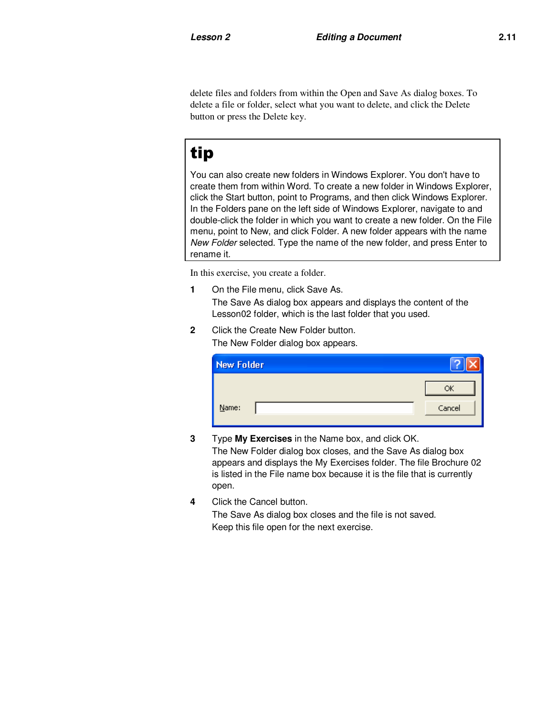delete files and folders from within the Open and Save As dialog boxes. To delete a file or folder, select what you want to delete, and click the Delete button or press the Delete key.

## tip

You can also create new folders in Windows Explorer. You don't have to create them from within Word. To create a new folder in Windows Explorer, click the Start button, point to Programs, and then click Windows Explorer. In the Folders pane on the left side of Windows Explorer, navigate to and double-click the folder in which you want to create a new folder. On the File menu, point to New, and click Folder. A new folder appears with the name New Folder selected. Type the name of the new folder, and press Enter to rename it.

In this exercise, you create a folder.

**1** On the File menu, click Save As.

The Save As dialog box appears and displays the content of the Lesson02 folder, which is the last folder that you used.

**2** Click the Create New Folder button. The New Folder dialog box appears.

| <b>New Folder</b> |        |
|-------------------|--------|
|                   | ОK     |
| $Name$            | Cancel |

- **3** Type **My Exercises** in the Name box, and click OK. The New Folder dialog box closes, and the Save As dialog box appears and displays the My Exercises folder. The file Brochure 02 is listed in the File name box because it is the file that is currently open.
- **4** Click the Cancel button.

The Save As dialog box closes and the file is not saved. Keep this file open for the next exercise.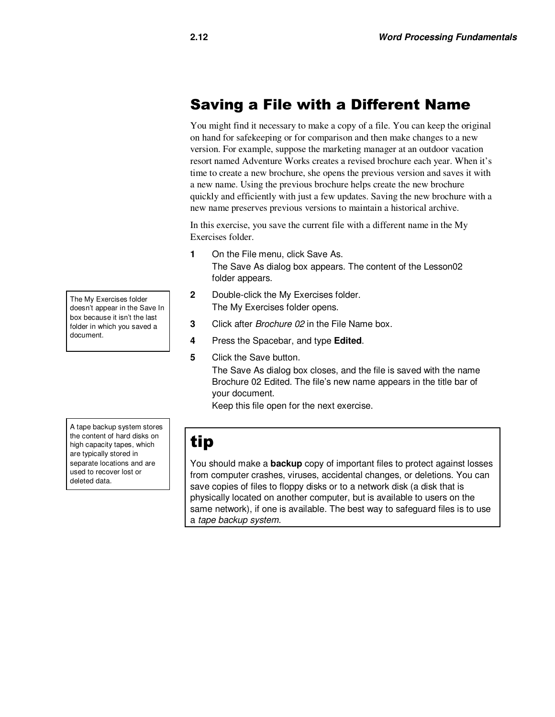## Saving a File with a Different Name

You might find it necessary to make a copy of a file. You can keep the original on hand for safekeeping or for comparison and then make changes to a new version. For example, suppose the marketing manager at an outdoor vacation resort named Adventure Works creates a revised brochure each year. When it's time to create a new brochure, she opens the previous version and saves it with a new name. Using the previous brochure helps create the new brochure quickly and efficiently with just a few updates. Saving the new brochure with a new name preserves previous versions to maintain a historical archive.

In this exercise, you save the current file with a different name in the My Exercises folder.

- **1** On the File menu, click Save As. The Save As dialog box appears. The content of the Lesson02 folder appears.
- **2** Double-click the My Exercises folder. The My Exercises folder opens.
- **3** Click after Brochure 02 in the File Name box.
- **4** Press the Spacebar, and type **Edited**.
- **5** Click the Save button. The Save As dialog box closes, and the file is saved with the name Brochure 02 Edited. The file's new name appears in the title bar of your document.

Keep this file open for the next exercise.

A tape backup system stores the content of hard disks on high capacity tapes, which are typically stored in separate locations and are used to recover lost or deleted data.

## tip

You should make a **backup** copy of important files to protect against losses from computer crashes, viruses, accidental changes, or deletions. You can save copies of files to floppy disks or to a network disk (a disk that is physically located on another computer, but is available to users on the same network), if one is available. The best way to safeguard files is to use a tape backup system.

The My Exercises folder doesn't appear in the Save In box because it isn't the last folder in which you saved a document.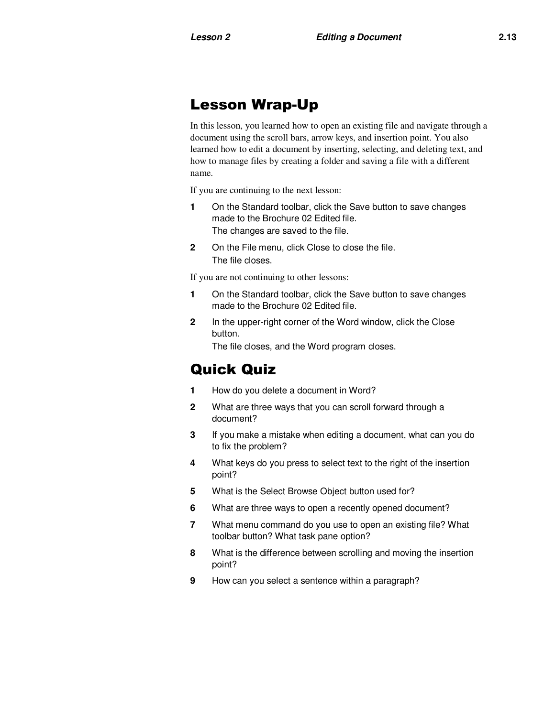### Lesson Wrap-Up

In this lesson, you learned how to open an existing file and navigate through a document using the scroll bars, arrow keys, and insertion point. You also learned how to edit a document by inserting, selecting, and deleting text, and how to manage files by creating a folder and saving a file with a different name.

If you are continuing to the next lesson:

- **1** On the Standard toolbar, click the Save button to save changes made to the Brochure 02 Edited file. The changes are saved to the file.
- **2** On the File menu, click Close to close the file. The file closes.

If you are not continuing to other lessons:

- **1** On the Standard toolbar, click the Save button to save changes made to the Brochure 02 Edited file.
- **2** In the upper-right corner of the Word window, click the Close button.

The file closes, and the Word program closes.

### Quick Quiz

- **1** How do you delete a document in Word?
- **2** What are three ways that you can scroll forward through a document?
- **3** If you make a mistake when editing a document, what can you do to fix the problem?
- **4** What keys do you press to select text to the right of the insertion point?
- **5** What is the Select Browse Object button used for?
- **6** What are three ways to open a recently opened document?
- **7** What menu command do you use to open an existing file? What toolbar button? What task pane option?
- **8** What is the difference between scrolling and moving the insertion point?
- **9** How can you select a sentence within a paragraph?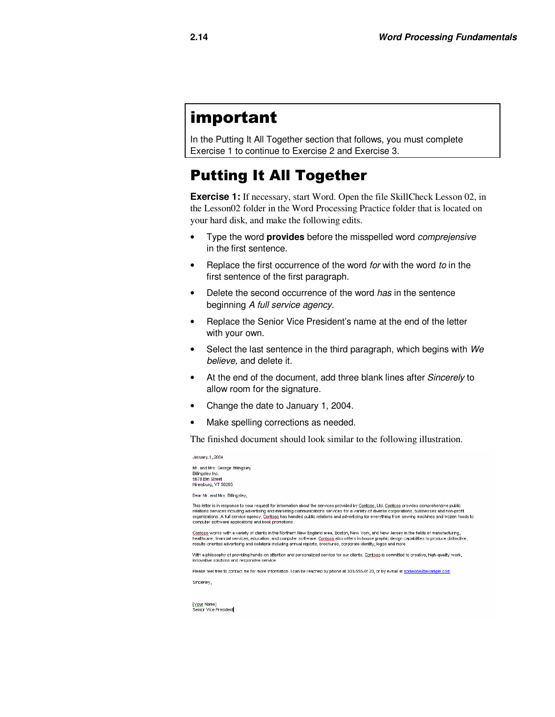## important

In the Putting It All Together section that follows, you must complete Exercise 1 to continue to Exercise 2 and Exercise 3.

## Putting It All Together

**Exercise 1:** If necessary, start Word. Open the file SkillCheck Lesson 02, in the Lesson02 folder in the Word Processing Practice folder that is located on your hard disk, and make the following edits.

- Type the word **provides** before the misspelled word comprejensive in the first sentence.
- Replace the first occurrence of the word for with the word to in the first sentence of the first paragraph.
- Delete the second occurrence of the word has in the sentence beginning A full service agency.
- Replace the Senior Vice President's name at the end of the letter with your own.
- Select the last sentence in the third paragraph, which begins with We believe, and delete it.
- At the end of the document, add three blank lines after Sincerely to allow room for the signature.
- Change the date to January 1, 2004.
- Make spelling corrections as needed.

The finished document should look similar to the following illustration.

January 1, 2004 Mr. and Mrs. George Billingsley Billingsley Inc.<br>5678 Elm Street Hinesburg, VT 50265

Dear Mr. and Mrs. Billingsley,

This letter is in response to your request for information about the services provided by Contoso, Ltd. Contoso provides comprehensive public relations services including advertising and marketing communications services for a variety of diverse corporations, businesses and non-profit<br>organizations. A full service agency, Contoso has handled public relations and computer software applications and book promotions.

Contoso works with a variety of clients in the Northern New England area, Boston, New York, and New Jersey in the fields of manufacturing, healthcare, financial services, education, and computer software. Contogo also offers in-house graphic design capabilities to produce distinctive, results-oriented advertising and collateral including annual reports, brochures, corporate identity, logos and more.

With a philosophy of providing hands-on attention and personalized service for our clients, Contogo is committed to creative, high-quality work, innovative solutions and responsive service

Please feel free to contact me for more information. I can be reached by phone at 303-555-0120, or by e-mail at someone@example.com. Sincerely,

[Xour Name]<br>Senior Vice President